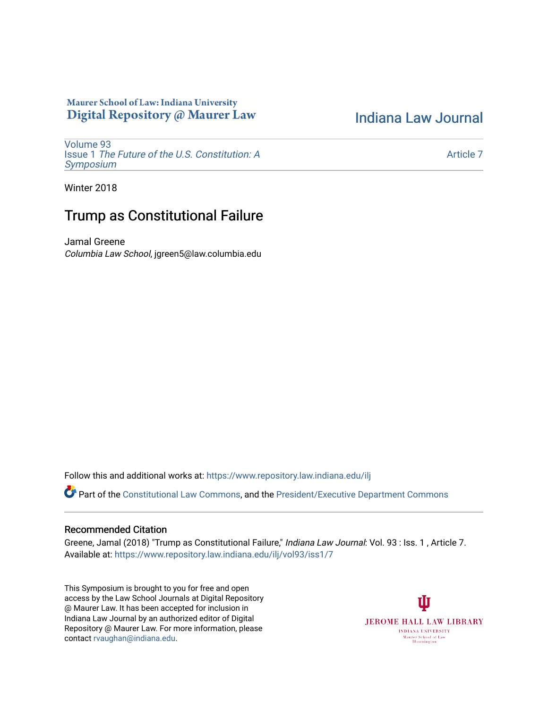# Maurer School of Law: Indiana University Digital Repository @ Maurer Law

[Indiana Law Journal](https://www.repository.law.indiana.edu/ilj) 

[Volume 93](https://www.repository.law.indiana.edu/ilj/vol93) Issue 1 [The Future of the U.S. Constitution: A](https://www.repository.law.indiana.edu/ilj/vol93/iss1) [Symposium](https://www.repository.law.indiana.edu/ilj/vol93/iss1) 

[Article 7](https://www.repository.law.indiana.edu/ilj/vol93/iss1/7) 

Winter 2018

# Trump as Constitutional Failure

Jamal Greene Columbia Law School, jgreen5@law.columbia.edu

Follow this and additional works at: [https://www.repository.law.indiana.edu/ilj](https://www.repository.law.indiana.edu/ilj?utm_source=www.repository.law.indiana.edu%2Filj%2Fvol93%2Fiss1%2F7&utm_medium=PDF&utm_campaign=PDFCoverPages) 

Part of the [Constitutional Law Commons,](http://network.bepress.com/hgg/discipline/589?utm_source=www.repository.law.indiana.edu%2Filj%2Fvol93%2Fiss1%2F7&utm_medium=PDF&utm_campaign=PDFCoverPages) and the [President/Executive Department Commons](http://network.bepress.com/hgg/discipline/1118?utm_source=www.repository.law.indiana.edu%2Filj%2Fvol93%2Fiss1%2F7&utm_medium=PDF&utm_campaign=PDFCoverPages)

# Recommended Citation

Greene, Jamal (2018) "Trump as Constitutional Failure," Indiana Law Journal: Vol. 93 : Iss. 1 , Article 7. Available at: [https://www.repository.law.indiana.edu/ilj/vol93/iss1/7](https://www.repository.law.indiana.edu/ilj/vol93/iss1/7?utm_source=www.repository.law.indiana.edu%2Filj%2Fvol93%2Fiss1%2F7&utm_medium=PDF&utm_campaign=PDFCoverPages) 

This Symposium is brought to you for free and open access by the Law School Journals at Digital Repository @ Maurer Law. It has been accepted for inclusion in Indiana Law Journal by an authorized editor of Digital Repository @ Maurer Law. For more information, please contact [rvaughan@indiana.edu](mailto:rvaughan@indiana.edu).

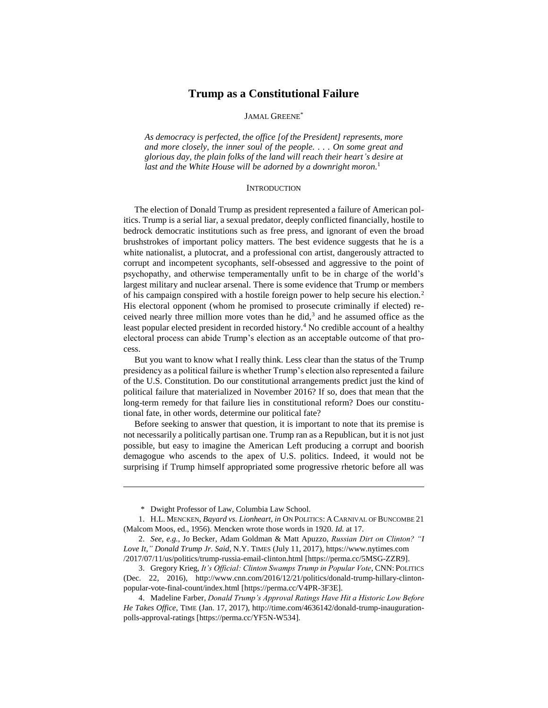# **Trump as a Constitutional Failure**

# JAMAL GREENE\*

*As democracy is perfected, the office [of the President] represents, more and more closely, the inner soul of the people. . . . On some great and glorious day, the plain folks of the land will reach their heart's desire at last and the White House will be adorned by a downright moron.*<sup>1</sup>

## <span id="page-1-0"></span>**INTRODUCTION**

The election of Donald Trump as president represented a failure of American politics. Trump is a serial liar, a sexual predator, deeply conflicted financially, hostile to bedrock democratic institutions such as free press, and ignorant of even the broad brushstrokes of important policy matters. The best evidence suggests that he is a white nationalist, a plutocrat, and a professional con artist, dangerously attracted to corrupt and incompetent sycophants, self-obsessed and aggressive to the point of psychopathy, and otherwise temperamentally unfit to be in charge of the world's largest military and nuclear arsenal. There is some evidence that Trump or members of his campaign conspired with a hostile foreign power to help secure his election.<sup>2</sup> His electoral opponent (whom he promised to prosecute criminally if elected) received nearly three million more votes than he did, $3$  and he assumed office as the least popular elected president in recorded history.<sup>4</sup> No credible account of a healthy electoral process can abide Trump's election as an acceptable outcome of that process.

But you want to know what I really think. Less clear than the status of the Trump presidency as a political failure is whether Trump's election also represented a failure of the U.S. Constitution. Do our constitutional arrangements predict just the kind of political failure that materialized in November 2016? If so, does that mean that the long-term remedy for that failure lies in constitutional reform? Does our constitutional fate, in other words, determine our political fate?

Before seeking to answer that question, it is important to note that its premise is not necessarily a politically partisan one. Trump ran as a Republican, but it is not just possible, but easy to imagine the American Left producing a corrupt and boorish demagogue who ascends to the apex of U.S. politics. Indeed, it would not be surprising if Trump himself appropriated some progressive rhetoric before all was

<sup>\*</sup> Dwight Professor of Law, Columbia Law School.

<sup>1.</sup> H.L. MENCKEN, *Bayard vs. Lionheart*, *in* ON POLITICS: A CARNIVAL OF BUNCOMBE 21 (Malcom Moos, ed., 1956). Mencken wrote those words in 1920. *Id.* at 17.

<sup>2.</sup> *See, e.g.*, Jo Becker, Adam Goldman & Matt Apuzzo, *Russian Dirt on Clinton? "I Love It," Donald Trump Jr. Said*, N.Y. TIMES (July 11, 2017), https://www.nytimes.com /2017/07/11/us/politics/trump-russia-email-clinton.html [https://perma.cc/5MSG-ZZR9].

<sup>3.</sup> Gregory Krieg, *It's Official: Clinton Swamps Trump in Popular Vote*, CNN: POLITICS (Dec. 22, 2016), http://www.cnn.com/2016/12/21/politics/donald-trump-hillary-clintonpopular-vote-final-count/index.html [https://perma.cc/V4PR-3F3E].

<sup>4.</sup> Madeline Farber, *Donald Trump's Approval Ratings Have Hit a Historic Low Before He Takes Office*, TIME (Jan. 17, 2017), http://time.com/4636142/donald-trump-inaugurationpolls-approval-ratings [https://perma.cc/YF5N-W534].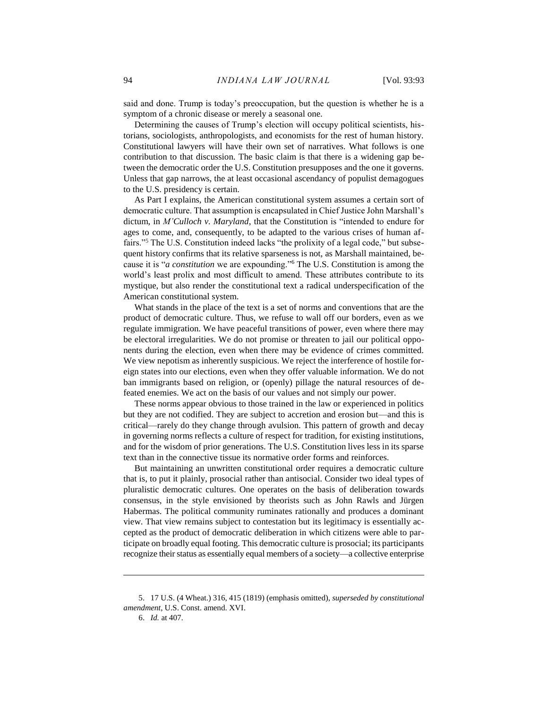said and done. Trump is today's preoccupation, but the question is whether he is a symptom of a chronic disease or merely a seasonal one.

Determining the causes of Trump's election will occupy political scientists, historians, sociologists, anthropologists, and economists for the rest of human history. Constitutional lawyers will have their own set of narratives. What follows is one contribution to that discussion. The basic claim is that there is a widening gap between the democratic order the U.S. Constitution presupposes and the one it governs. Unless that gap narrows, the at least occasional ascendancy of populist demagogues to the U.S. presidency is certain.

As Part I explains, the American constitutional system assumes a certain sort of democratic culture. That assumption is encapsulated in Chief Justice John Marshall's dictum, in *M'Culloch v. Maryland*, that the Constitution is "intended to endure for ages to come, and, consequently, to be adapted to the various crises of human affairs."<sup>5</sup> The U.S. Constitution indeed lacks "the prolixity of a legal code," but subsequent history confirms that its relative sparseness is not, as Marshall maintained, because it is "*a constitution* we are expounding."<sup>6</sup> The U.S. Constitution is among the world's least prolix and most difficult to amend. These attributes contribute to its mystique, but also render the constitutional text a radical underspecification of the American constitutional system.

What stands in the place of the text is a set of norms and conventions that are the product of democratic culture. Thus, we refuse to wall off our borders, even as we regulate immigration. We have peaceful transitions of power, even where there may be electoral irregularities. We do not promise or threaten to jail our political opponents during the election, even when there may be evidence of crimes committed. We view nepotism as inherently suspicious. We reject the interference of hostile foreign states into our elections, even when they offer valuable information. We do not ban immigrants based on religion, or (openly) pillage the natural resources of defeated enemies. We act on the basis of our values and not simply our power.

These norms appear obvious to those trained in the law or experienced in politics but they are not codified. They are subject to accretion and erosion but—and this is critical—rarely do they change through avulsion. This pattern of growth and decay in governing norms reflects a culture of respect for tradition, for existing institutions, and for the wisdom of prior generations. The U.S. Constitution lives less in its sparse text than in the connective tissue its normative order forms and reinforces.

But maintaining an unwritten constitutional order requires a democratic culture that is, to put it plainly, prosocial rather than antisocial. Consider two ideal types of pluralistic democratic cultures. One operates on the basis of deliberation towards consensus, in the style envisioned by theorists such as John Rawls and Jürgen Habermas. The political community ruminates rationally and produces a dominant view. That view remains subject to contestation but its legitimacy is essentially accepted as the product of democratic deliberation in which citizens were able to participate on broadly equal footing. This democratic culture is prosocial; its participants recognize their status as essentially equal members of a society—a collective enterprise

<sup>5.</sup> 17 U.S. (4 Wheat.) 316, 415 (1819) (emphasis omitted), *superseded by constitutional amendment*, U.S. Const. amend. XVI.

<sup>6.</sup> *Id.* at 407.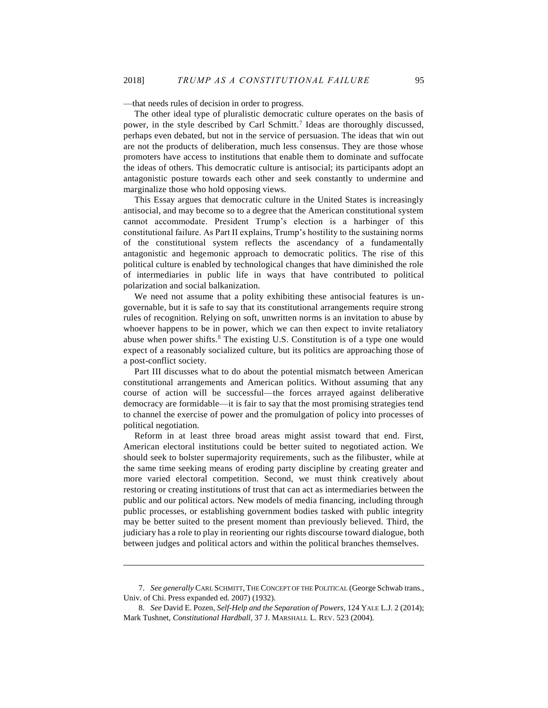—that needs rules of decision in order to progress.

<span id="page-3-0"></span>The other ideal type of pluralistic democratic culture operates on the basis of power, in the style described by Carl Schmitt.<sup>7</sup> Ideas are thoroughly discussed, perhaps even debated, but not in the service of persuasion. The ideas that win out are not the products of deliberation, much less consensus. They are those whose promoters have access to institutions that enable them to dominate and suffocate the ideas of others. This democratic culture is antisocial; its participants adopt an antagonistic posture towards each other and seek constantly to undermine and marginalize those who hold opposing views.

This Essay argues that democratic culture in the United States is increasingly antisocial, and may become so to a degree that the American constitutional system cannot accommodate. President Trump's election is a harbinger of this constitutional failure. As Part II explains, Trump's hostility to the sustaining norms of the constitutional system reflects the ascendancy of a fundamentally antagonistic and hegemonic approach to democratic politics. The rise of this political culture is enabled by technological changes that have diminished the role of intermediaries in public life in ways that have contributed to political polarization and social balkanization.

We need not assume that a polity exhibiting these antisocial features is ungovernable, but it is safe to say that its constitutional arrangements require strong rules of recognition. Relying on soft, unwritten norms is an invitation to abuse by whoever happens to be in power, which we can then expect to invite retaliatory abuse when power shifts.<sup>8</sup> The existing U.S. Constitution is of a type one would expect of a reasonably socialized culture, but its politics are approaching those of a post-conflict society.

Part III discusses what to do about the potential mismatch between American constitutional arrangements and American politics. Without assuming that any course of action will be successful—the forces arrayed against deliberative democracy are formidable—it is fair to say that the most promising strategies tend to channel the exercise of power and the promulgation of policy into processes of political negotiation.

Reform in at least three broad areas might assist toward that end. First, American electoral institutions could be better suited to negotiated action. We should seek to bolster supermajority requirements, such as the filibuster, while at the same time seeking means of eroding party discipline by creating greater and more varied electoral competition. Second, we must think creatively about restoring or creating institutions of trust that can act as intermediaries between the public and our political actors. New models of media financing, including through public processes, or establishing government bodies tasked with public integrity may be better suited to the present moment than previously believed. Third, the judiciary has a role to play in reorienting our rights discourse toward dialogue, both between judges and political actors and within the political branches themselves.

<sup>7.</sup> *See generally* CARL SCHMITT, THE CONCEPT OF THE POLITICAL (George Schwab trans., Univ. of Chi. Press expanded ed. 2007) (1932).

<sup>8.</sup> *See* David E. Pozen, *Self-Help and the Separation of Powers*, 124 YALE L.J. 2 (2014); Mark Tushnet, *Constitutional Hardball*, 37 J. MARSHALL L. REV. 523 (2004).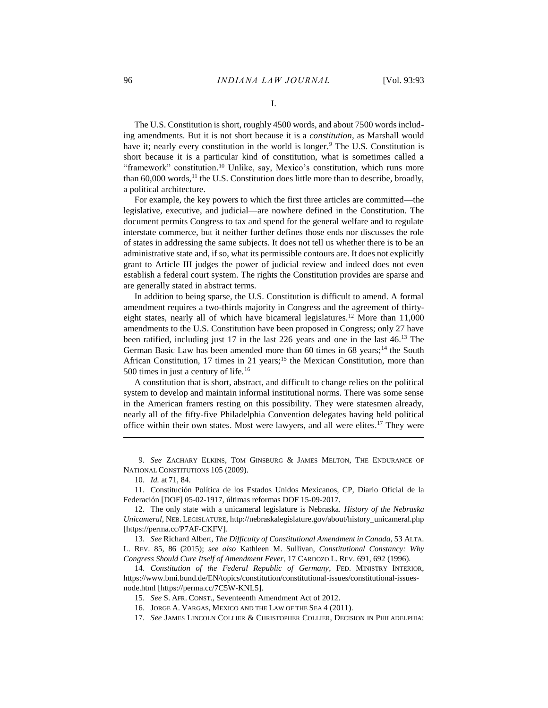I.

The U.S. Constitution is short, roughly 4500 words, and about 7500 words including amendments. But it is not short because it is a *constitution*, as Marshall would have it; nearly every constitution in the world is longer.<sup>9</sup> The U.S. Constitution is short because it is a particular kind of constitution, what is sometimes called a "framework" constitution.<sup>10</sup> Unlike, say, Mexico's constitution, which runs more than  $60,000$  words,<sup>11</sup> the U.S. Constitution does little more than to describe, broadly, a political architecture.

For example, the key powers to which the first three articles are committed—the legislative, executive, and judicial—are nowhere defined in the Constitution. The document permits Congress to tax and spend for the general welfare and to regulate interstate commerce, but it neither further defines those ends nor discusses the role of states in addressing the same subjects. It does not tell us whether there is to be an administrative state and, if so, what its permissible contours are. It does not explicitly grant to Article III judges the power of judicial review and indeed does not even establish a federal court system. The rights the Constitution provides are sparse and are generally stated in abstract terms.

In addition to being sparse, the U.S. Constitution is difficult to amend. A formal amendment requires a two-thirds majority in Congress and the agreement of thirtyeight states, nearly all of which have bicameral legislatures.<sup>12</sup> More than 11,000 amendments to the U.S. Constitution have been proposed in Congress; only 27 have been ratified, including just 17 in the last 226 years and one in the last 46.<sup>13</sup> The German Basic Law has been amended more than 60 times in 68 years;<sup>14</sup> the South African Constitution, 17 times in 21 years;<sup>15</sup> the Mexican Constitution, more than 500 times in just a century of life.<sup>16</sup>

A constitution that is short, abstract, and difficult to change relies on the political system to develop and maintain informal institutional norms. There was some sense in the American framers resting on this possibility. They were statesmen already, nearly all of the fifty-five Philadelphia Convention delegates having held political office within their own states. Most were lawyers, and all were elites.<sup>17</sup> They were

9. *See* ZACHARY ELKINS, TOM GINSBURG & JAMES MELTON, THE ENDURANCE OF NATIONAL CONSTITUTIONS 105 (2009).

10. *Id.* at 71, 84.

 $\overline{a}$ 

11. Constitución Política de los Estados Unidos Mexicanos, CP, Diario Oficial de la Federación [DOF] 05-02-1917, últimas reformas DOF 15-09-2017.

13. *See* Richard Albert, *The Difficulty of Constitutional Amendment in Canada*, 53 ALTA. L. REV. 85, 86 (2015); *see also* Kathleen M. Sullivan, *Constitutional Constancy: Why Congress Should Cure Itself of Amendment Fever*, 17 CARDOZO L. REV. 691, 692 (1996).

14. *Constitution of the Federal Republic of Germany*, FED. MINISTRY INTERIOR, https://www.bmi.bund.de/EN/topics/constitution/constitutional-issues/constitutional-issuesnode.html [https://perma.cc/7C5W-KNL5].

15. *See* S. AFR. CONST., Seventeenth Amendment Act of 2012.

16. JORGE A. VARGAS, MEXICO AND THE LAW OF THE SEA 4 (2011).

17. *See* JAMES LINCOLN COLLIER & CHRISTOPHER COLLIER, DECISION IN PHILADELPHIA:

<sup>12.</sup> The only state with a unicameral legislature is Nebraska. *History of the Nebraska Unicameral*, NEB. LEGISLATURE, http://nebraskalegislature.gov/about/history\_unicameral.php [https://perma.cc/P7AF-CKFV].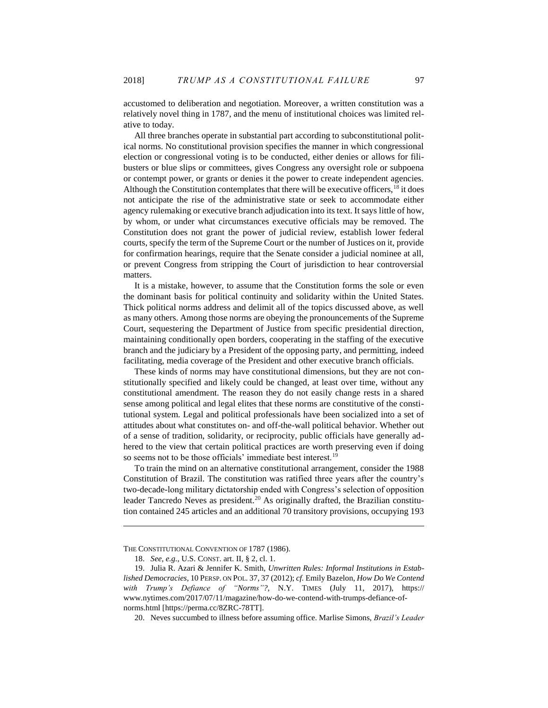accustomed to deliberation and negotiation. Moreover, a written constitution was a relatively novel thing in 1787, and the menu of institutional choices was limited relative to today.

All three branches operate in substantial part according to subconstitutional political norms. No constitutional provision specifies the manner in which congressional election or congressional voting is to be conducted, either denies or allows for filibusters or blue slips or committees, gives Congress any oversight role or subpoena or contempt power, or grants or denies it the power to create independent agencies. Although the Constitution contemplates that there will be executive officers,  $18$  it does not anticipate the rise of the administrative state or seek to accommodate either agency rulemaking or executive branch adjudication into its text. It says little of how, by whom, or under what circumstances executive officials may be removed. The Constitution does not grant the power of judicial review, establish lower federal courts, specify the term of the Supreme Court or the number of Justices on it, provide for confirmation hearings, require that the Senate consider a judicial nominee at all, or prevent Congress from stripping the Court of jurisdiction to hear controversial matters.

It is a mistake, however, to assume that the Constitution forms the sole or even the dominant basis for political continuity and solidarity within the United States. Thick political norms address and delimit all of the topics discussed above, as well as many others. Among those norms are obeying the pronouncements of the Supreme Court, sequestering the Department of Justice from specific presidential direction, maintaining conditionally open borders, cooperating in the staffing of the executive branch and the judiciary by a President of the opposing party, and permitting, indeed facilitating, media coverage of the President and other executive branch officials.

These kinds of norms may have constitutional dimensions, but they are not constitutionally specified and likely could be changed, at least over time, without any constitutional amendment. The reason they do not easily change rests in a shared sense among political and legal elites that these norms are constitutive of the constitutional system. Legal and political professionals have been socialized into a set of attitudes about what constitutes on- and off-the-wall political behavior. Whether out of a sense of tradition, solidarity, or reciprocity, public officials have generally adhered to the view that certain political practices are worth preserving even if doing so seems not to be those officials' immediate best interest.<sup>19</sup>

<span id="page-5-0"></span>To train the mind on an alternative constitutional arrangement, consider the 1988 Constitution of Brazil. The constitution was ratified three years after the country's two-decade-long military dictatorship ended with Congress's selection of opposition leader Tancredo Neves as president.<sup>20</sup> As originally drafted, the Brazilian constitution contained 245 articles and an additional 70 transitory provisions, occupying 193

THE CONSTITUTIONAL CONVENTION OF 1787 (1986).

<sup>18.</sup> *See, e.g.*, U.S. CONST. art. II, § 2, cl. 1.

<sup>19.</sup> Julia R. Azari & Jennifer K. Smith, *Unwritten Rules: Informal Institutions in Established Democracies*, 10 PERSP. ON POL. 37, 37 (2012); *cf.* Emily Bazelon, *How Do We Contend with Trump's Defiance of "Norms"?*, N.Y. TIMES (July 11, 2017), https:// www.nytimes.com/2017/07/11/magazine/how-do-we-contend-with-trumps-defiance-ofnorms.html [https://perma.cc/8ZRC-78TT].

<sup>20.</sup> Neves succumbed to illness before assuming office. Marlise Simons, *Brazil's Leader*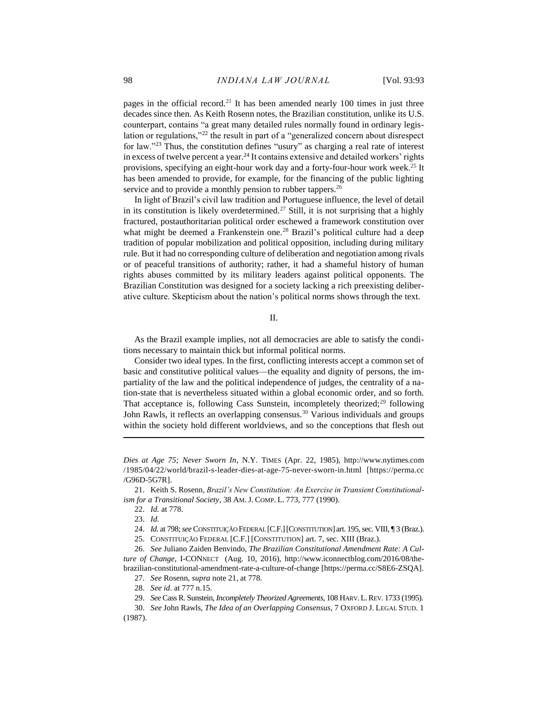<span id="page-6-0"></span>pages in the official record.<sup>21</sup> It has been amended nearly 100 times in just three decades since then. As Keith Rosenn notes, the Brazilian constitution, unlike its U.S. counterpart, contains "a great many detailed rules normally found in ordinary legislation or regulations,"<sup>22</sup> the result in part of a "generalized concern about disrespect for law."<sup>23</sup> Thus, the constitution defines "usury" as charging a real rate of interest in excess of twelve percent a year.<sup>24</sup> It contains extensive and detailed workers' rights provisions, specifying an eight-hour work day and a forty-four-hour work week.<sup>25</sup> It has been amended to provide, for example, for the financing of the public lighting service and to provide a monthly pension to rubber tappers.<sup>26</sup>

In light of Brazil's civil law tradition and Portuguese influence, the level of detail in its constitution is likely overdetermined.<sup>27</sup> Still, it is not surprising that a highly fractured, postauthoritarian political order eschewed a framework constitution over what might be deemed a Frankenstein one.<sup>28</sup> Brazil's political culture had a deep tradition of popular mobilization and political opposition, including during military rule. But it had no corresponding culture of deliberation and negotiation among rivals or of peaceful transitions of authority; rather, it had a shameful history of human rights abuses committed by its military leaders against political opponents. The Brazilian Constitution was designed for a society lacking a rich preexisting deliberative culture. Skepticism about the nation's political norms shows through the text.

II.

As the Brazil example implies, not all democracies are able to satisfy the conditions necessary to maintain thick but informal political norms.

Consider two ideal types. In the first, conflicting interests accept a common set of basic and constitutive political values—the equality and dignity of persons, the impartiality of the law and the political independence of judges, the centrality of a nation-state that is nevertheless situated within a global economic order, and so forth. That acceptance is, following Cass Sunstein, incompletely theorized;<sup>29</sup> following John Rawls, it reflects an overlapping consensus.<sup>30</sup> Various individuals and groups within the society hold different worldviews, and so the conceptions that flesh out

*Dies at Age 75; Never Sworn In*, N.Y. TIMES (Apr. 22, 1985), http://www.nytimes.com /1985/04/22/world/brazil-s-leader-dies-at-age-75-never-sworn-in.html [https://perma.cc /G96D-5G7R].

<sup>21.</sup> Keith S. Rosenn, *Brazil's New Constitution: An Exercise in Transient Constitutionalism for a Transitional Society*, 38 AM. J. COMP. L. 773, 777 (1990).

<sup>22.</sup> *Id.* at 778.

<sup>23.</sup> *Id.*

<sup>24.</sup> *Id.* at 798; *see* CONSTITUIÇÃO FEDERAL [C.F.][CONSTITUTION] art. 195, sec. VIII, ¶ 3 (Braz.).

<sup>25.</sup> CONSTITUIÇÃO FEDERAL [C.F.] [CONSTITUTION] art. 7, sec. XIII (Braz.).

<sup>26.</sup> *See* Juliano Zaiden Benvindo, *The Brazilian Constitutional Amendment Rate: A Culture of Change*, I-CONNECT (Aug. 10, 2016), http://www.iconnectblog.com/2016/08/thebrazilian-constitutional-amendment-rate-a-culture-of-change [https://perma.cc/S8E6-ZSQA].

<sup>27.</sup> *See* Rosenn, *supra* note [21,](#page-6-0) at 778.

<sup>28.</sup> *See id*. at 777 n.15.

<sup>29.</sup> *See* Cass R. Sunstein, *Incompletely Theorized Agreements*, 108 HARV.L.REV. 1733 (1995).

<sup>30.</sup> *See* John Rawls, *The Idea of an Overlapping Consensus,* 7 OXFORD J. LEGAL STUD. 1 (1987).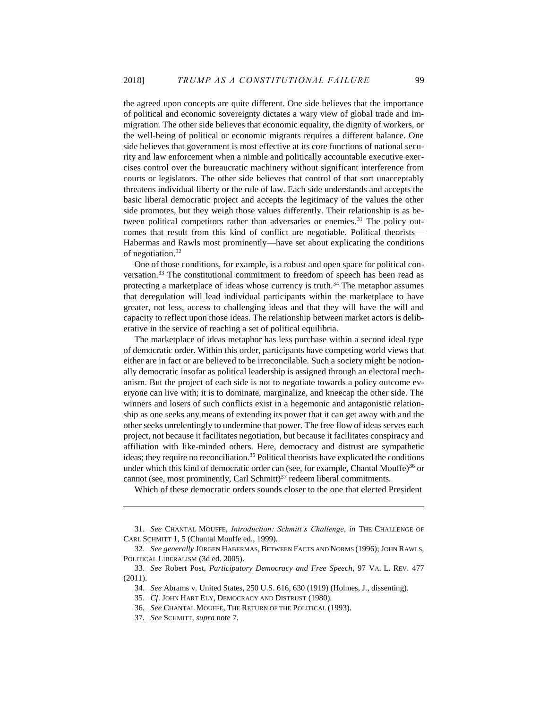the agreed upon concepts are quite different. One side believes that the importance of political and economic sovereignty dictates a wary view of global trade and immigration. The other side believes that economic equality, the dignity of workers, or the well-being of political or economic migrants requires a different balance. One side believes that government is most effective at its core functions of national security and law enforcement when a nimble and politically accountable executive exercises control over the bureaucratic machinery without significant interference from courts or legislators. The other side believes that control of that sort unacceptably threatens individual liberty or the rule of law. Each side understands and accepts the basic liberal democratic project and accepts the legitimacy of the values the other side promotes, but they weigh those values differently. Their relationship is as between political competitors rather than adversaries or enemies.<sup>31</sup> The policy outcomes that result from this kind of conflict are negotiable. Political theorists— Habermas and Rawls most prominently—have set about explicating the conditions of negotiation.<sup>32</sup>

One of those conditions, for example, is a robust and open space for political conversation.<sup>33</sup> The constitutional commitment to freedom of speech has been read as protecting a marketplace of ideas whose currency is truth.<sup>34</sup> The metaphor assumes that deregulation will lead individual participants within the marketplace to have greater, not less, access to challenging ideas and that they will have the will and capacity to reflect upon those ideas. The relationship between market actors is deliberative in the service of reaching a set of political equilibria.

The marketplace of ideas metaphor has less purchase within a second ideal type of democratic order. Within this order, participants have competing world views that either are in fact or are believed to be irreconcilable. Such a society might be notionally democratic insofar as political leadership is assigned through an electoral mechanism. But the project of each side is not to negotiate towards a policy outcome everyone can live with; it is to dominate, marginalize, and kneecap the other side. The winners and losers of such conflicts exist in a hegemonic and antagonistic relationship as one seeks any means of extending its power that it can get away with and the other seeks unrelentingly to undermine that power. The free flow of ideas serves each project, not because it facilitates negotiation, but because it facilitates conspiracy and affiliation with like-minded others. Here, democracy and distrust are sympathetic ideas; they require no reconciliation.<sup>35</sup> Political theorists have explicated the conditions under which this kind of democratic order can (see, for example, Chantal Mouffe) $36$  or cannot (see, most prominently, Carl Schmitt) $37$  redeem liberal commitments.

Which of these democratic orders sounds closer to the one that elected President

<sup>31.</sup> *See* CHANTAL MOUFFE, *Introduction: Schmitt's Challenge*, *in* THE CHALLENGE OF CARL SCHMITT 1, 5 (Chantal Mouffe ed., 1999).

<sup>32.</sup> *See generally* JÜRGEN HABERMAS, BETWEEN FACTS AND NORMS (1996); JOHN RAWLS, POLITICAL LIBERALISM (3d ed. 2005).

<sup>33.</sup> *See* Robert Post, *Participatory Democracy and Free Speech*, 97 VA. L. REV. 477 (2011).

<sup>34.</sup> *See* Abrams v. United States, 250 U.S. 616, 630 (1919) (Holmes, J., dissenting).

<sup>35.</sup> *Cf*. JOHN HART ELY, DEMOCRACY AND DISTRUST (1980).

<sup>36.</sup> *See* CHANTAL MOUFFE, THE RETURN OF THE POLITICAL (1993).

<sup>37.</sup> *See* SCHMITT, *supra* note [7.](#page-3-0)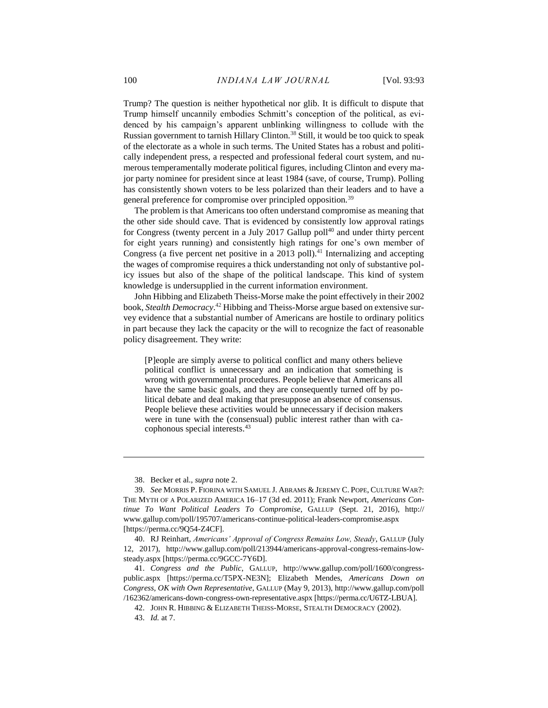Trump? The question is neither hypothetical nor glib. It is difficult to dispute that Trump himself uncannily embodies Schmitt's conception of the political, as evidenced by his campaign's apparent unblinking willingness to collude with the Russian government to tarnish Hillary Clinton.<sup>38</sup> Still, it would be too quick to speak of the electorate as a whole in such terms. The United States has a robust and politically independent press, a respected and professional federal court system, and numerous temperamentally moderate political figures, including Clinton and every major party nominee for president since at least 1984 (save, of course, Trump). Polling has consistently shown voters to be less polarized than their leaders and to have a general preference for compromise over principled opposition.<sup>39</sup>

The problem is that Americans too often understand compromise as meaning that the other side should cave. That is evidenced by consistently low approval ratings for Congress (twenty percent in a July 2017 Gallup poll $40$  and under thirty percent for eight years running) and consistently high ratings for one's own member of Congress (a five percent net positive in a  $2013$  poll).<sup>41</sup> Internalizing and accepting the wages of compromise requires a thick understanding not only of substantive policy issues but also of the shape of the political landscape. This kind of system knowledge is undersupplied in the current information environment.

John Hibbing and Elizabeth Theiss-Morse make the point effectively in their 2002 book, *Stealth Democracy*. <sup>42</sup> Hibbing and Theiss-Morse argue based on extensive survey evidence that a substantial number of Americans are hostile to ordinary politics in part because they lack the capacity or the will to recognize the fact of reasonable policy disagreement. They write:

[P]eople are simply averse to political conflict and many others believe political conflict is unnecessary and an indication that something is wrong with governmental procedures. People believe that Americans all have the same basic goals, and they are consequently turned off by political debate and deal making that presuppose an absence of consensus. People believe these activities would be unnecessary if decision makers were in tune with the (consensual) public interest rather than with cacophonous special interests.<sup>43</sup>

<sup>38.</sup> Becker et al., *supra* not[e 2.](#page-1-0)

<sup>39.</sup> *See* MORRIS P. FIORINA WITH SAMUEL J. ABRAMS & JEREMY C. POPE, CULTURE WAR?: THE MYTH OF A POLARIZED AMERICA 16–17 (3d ed. 2011); Frank Newport, *Americans Continue To Want Political Leaders To Compromise*, GALLUP (Sept. 21, 2016), http:// www.gallup.com/poll/195707/americans-continue-political-leaders-compromise.aspx [https://perma.cc/9Q54-Z4CF].

<sup>40.</sup> RJ Reinhart, *Americans' Approval of Congress Remains Low, Steady*, GALLUP (July 12, 2017), http://www.gallup.com/poll/213944/americans-approval-congress-remains-lowsteady.aspx [https://perma.cc/9GCC-7Y6D].

<sup>41.</sup> *Congress and the Public*, GALLUP, http://www.gallup.com/poll/1600/congresspublic.aspx [https://perma.cc/T5PX-NE3N]; Elizabeth Mendes, *Americans Down on Congress, OK with Own Representative*, GALLUP (May 9, 2013), http://www.gallup.com/poll /162362/americans-down-congress-own-representative.aspx [https://perma.cc/U6TZ-LBUA].

<sup>42.</sup> JOHN R. HIBBING & ELIZABETH THEISS-MORSE, STEALTH DEMOCRACY (2002).

<sup>43.</sup> *Id.* at 7.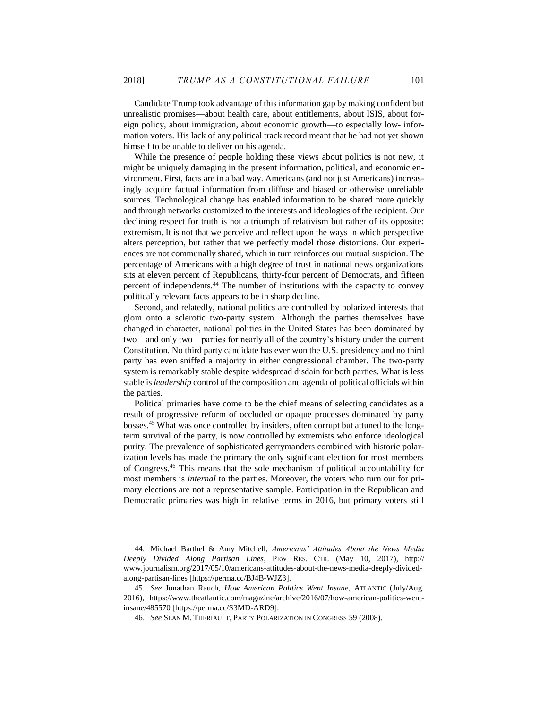Candidate Trump took advantage of this information gap by making confident but unrealistic promises—about health care, about entitlements, about ISIS, about foreign policy, about immigration, about economic growth—to especially low- information voters. His lack of any political track record meant that he had not yet shown himself to be unable to deliver on his agenda.

While the presence of people holding these views about politics is not new, it might be uniquely damaging in the present information, political, and economic environment. First, facts are in a bad way. Americans (and not just Americans) increasingly acquire factual information from diffuse and biased or otherwise unreliable sources. Technological change has enabled information to be shared more quickly and through networks customized to the interests and ideologies of the recipient. Our declining respect for truth is not a triumph of relativism but rather of its opposite: extremism. It is not that we perceive and reflect upon the ways in which perspective alters perception, but rather that we perfectly model those distortions. Our experiences are not communally shared, which in turn reinforces our mutual suspicion. The percentage of Americans with a high degree of trust in national news organizations sits at eleven percent of Republicans, thirty-four percent of Democrats, and fifteen percent of independents.<sup>44</sup> The number of institutions with the capacity to convey politically relevant facts appears to be in sharp decline.

Second, and relatedly, national politics are controlled by polarized interests that glom onto a sclerotic two-party system. Although the parties themselves have changed in character, national politics in the United States has been dominated by two—and only two—parties for nearly all of the country's history under the current Constitution. No third party candidate has ever won the U.S. presidency and no third party has even sniffed a majority in either congressional chamber. The two-party system is remarkably stable despite widespread disdain for both parties. What is less stable is *leadership* control of the composition and agenda of political officials within the parties.

Political primaries have come to be the chief means of selecting candidates as a result of progressive reform of occluded or opaque processes dominated by party bosses.<sup>45</sup> What was once controlled by insiders, often corrupt but attuned to the longterm survival of the party, is now controlled by extremists who enforce ideological purity. The prevalence of sophisticated gerrymanders combined with historic polarization levels has made the primary the only significant election for most members of Congress.<sup>46</sup> This means that the sole mechanism of political accountability for most members is *internal* to the parties. Moreover, the voters who turn out for primary elections are not a representative sample. Participation in the Republican and Democratic primaries was high in relative terms in 2016, but primary voters still

<sup>44.</sup> Michael Barthel & Amy Mitchell, *Americans' Attitudes About the News Media Deeply Divided Along Partisan Lines*, PEW RES. CTR. (May 10, 2017), http:// www.journalism.org/2017/05/10/americans-attitudes-about-the-news-media-deeply-dividedalong-partisan-lines [https://perma.cc/BJ4B-WJZ3].

<sup>45.</sup> *See* Jonathan Rauch, *How American Politics Went Insane*, ATLANTIC (July/Aug. 2016), https://www.theatlantic.com/magazine/archive/2016/07/how-american-politics-wentinsane/485570 [https://perma.cc/S3MD-ARD9].

<sup>46.</sup> *See* SEAN M. THERIAULT, PARTY POLARIZATION IN CONGRESS 59 (2008).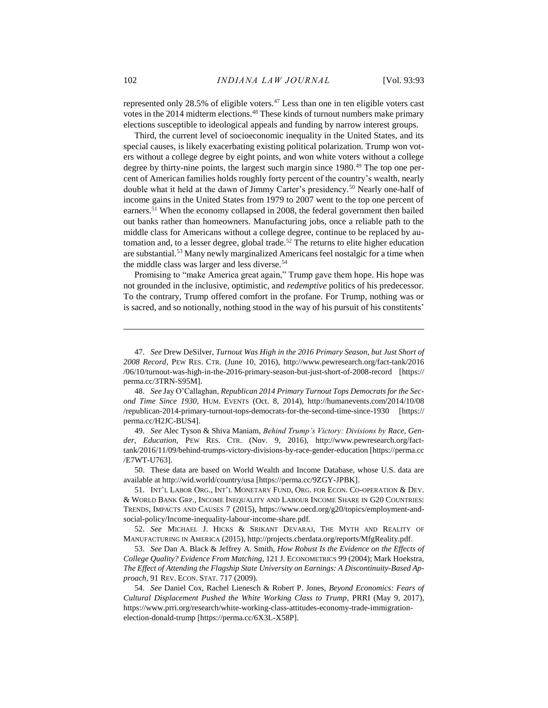represented only 28.5% of eligible voters. $47$  Less than one in ten eligible voters cast votes in the 2014 midterm elections.<sup>48</sup> These kinds of turnout numbers make primary elections susceptible to ideological appeals and funding by narrow interest groups.

Third, the current level of socioeconomic inequality in the United States, and its special causes, is likely exacerbating existing political polarization. Trump won voters without a college degree by eight points, and won white voters without a college degree by thirty-nine points, the largest such margin since 1980.<sup>49</sup> The top one percent of American families holds roughly forty percent of the country's wealth, nearly double what it held at the dawn of Jimmy Carter's presidency.<sup>50</sup> Nearly one-half of income gains in the United States from 1979 to 2007 went to the top one percent of earners.<sup>51</sup> When the economy collapsed in 2008, the federal government then bailed out banks rather than homeowners. Manufacturing jobs, once a reliable path to the middle class for Americans without a college degree, continue to be replaced by automation and, to a lesser degree, global trade.<sup>52</sup> The returns to elite higher education are substantial.<sup>53</sup> Many newly marginalized Americans feel nostalgic for a time when the middle class was larger and less diverse.<sup>54</sup>

Promising to "make America great again," Trump gave them hope. His hope was not grounded in the inclusive, optimistic, and *redemptive* politics of his predecessor. To the contrary, Trump offered comfort in the profane. For Trump, nothing was or is sacred, and so notionally, nothing stood in the way of his pursuit of his constitents'

50. These data are based on World Wealth and Income Database, whose U.S. data are available at http://wid.world/country/usa [https://perma.cc/9ZGY-JPBK].

<sup>47.</sup> *See* Drew DeSilver, *Turnout Was High in the 2016 Primary Season, but Just Short of 2008 Record*, PEW RES. CTR. (June 10, 2016), http://www.pewresearch.org/fact-tank/2016 /06/10/turnout-was-high-in-the-2016-primary-season-but-just-short-of-2008-record [https:// perma.cc/3TRN-S95M].

<sup>48.</sup> *See* Jay O'Callaghan, *Republican 2014 Primary Turnout Tops Democrats for the Second Time Since 1930*, HUM. EVENTS (Oct. 8, 2014), http://humanevents.com/2014/10/08 /republican-2014-primary-turnout-tops-democrats-for-the-second-time-since-1930 [https:// perma.cc/H2JC-BUS4].

<sup>49.</sup> *See* Alec Tyson & Shiva Maniam, *Behind Trump's Victory: Divisions by Race, Gender, Education*, PEW RES. CTR. (Nov. 9, 2016), http://www.pewresearch.org/facttank/2016/11/09/behind-trumps-victory-divisions-by-race-gender-education [https://perma.cc /E7WT-U763].

<sup>51.</sup> INT'L LABOR ORG., INT'L MONETARY FUND, ORG. FOR ECON. CO-OPERATION & DEV. & WORLD BANK GRP., INCOME INEQUALITY AND LABOUR INCOME SHARE IN G20 COUNTRIES: TRENDS, IMPACTS AND CAUSES 7 (2015), https://www.oecd.org/g20/topics/employment-andsocial-policy/Income-inequality-labour-income-share.pdf.

<sup>52.</sup> *See* MICHAEL J. HICKS & SRIKANT DEVARAJ, THE MYTH AND REALITY OF MANUFACTURING IN AMERICA (2015), http://projects.cberdata.org/reports/MfgReality.pdf.

<sup>53.</sup> *See* Dan A. Black & Jeffrey A. Smith, *How Robust Is the Evidence on the Effects of College Quality? Evidence From Matching*, 121 J. ECONOMETRICS 99 (2004); Mark Hoekstra, *The Effect of Attending the Flagship State University on Earnings: A Discontinuity-Based Approach*, 91 REV. ECON. STAT. 717 (2009).

<sup>54.</sup> *See* Daniel Cox, Rachel Lienesch & Robert P. Jones, *Beyond Economics: Fears of Cultural Displacement Pushed the White Working Class to Trump*, PRRI (May 9, 2017), https://www.prri.org/research/white-working-class-attitudes-economy-trade-immigrationelection-donald-trump [https://perma.cc/6X3L-X58P].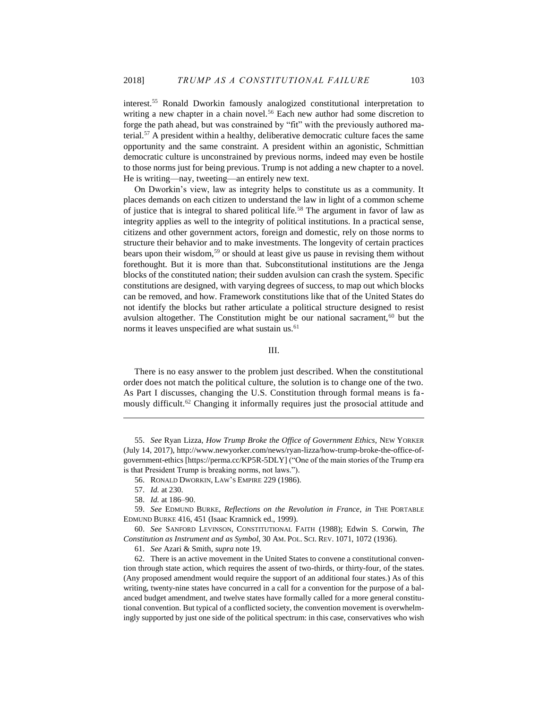interest.<sup>55</sup> Ronald Dworkin famously analogized constitutional interpretation to writing a new chapter in a chain novel.<sup>56</sup> Each new author had some discretion to forge the path ahead, but was constrained by "fit" with the previously authored material.<sup>57</sup> A president within a healthy, deliberative democratic culture faces the same opportunity and the same constraint. A president within an agonistic, Schmittian democratic culture is unconstrained by previous norms, indeed may even be hostile to those norms just for being previous. Trump is not adding a new chapter to a novel. He is writing—nay, tweeting—an entirely new text.

On Dworkin's view, law as integrity helps to constitute us as a community. It places demands on each citizen to understand the law in light of a common scheme of justice that is integral to shared political life.<sup>58</sup> The argument in favor of law as integrity applies as well to the integrity of political institutions. In a practical sense, citizens and other government actors, foreign and domestic, rely on those norms to structure their behavior and to make investments. The longevity of certain practices bears upon their wisdom,<sup>59</sup> or should at least give us pause in revising them without forethought. But it is more than that. Subconstitutional institutions are the Jenga blocks of the constituted nation; their sudden avulsion can crash the system. Specific constitutions are designed, with varying degrees of success, to map out which blocks can be removed, and how. Framework constitutions like that of the United States do not identify the blocks but rather articulate a political structure designed to resist avulsion altogether. The Constitution might be our national sacrament,  $60$  but the norms it leaves unspecified are what sustain us.<sup>61</sup>

## III.

There is no easy answer to the problem just described. When the constitutional order does not match the political culture, the solution is to change one of the two. As Part I discusses, changing the U.S. Constitution through formal means is fa mously difficult.<sup>62</sup> Changing it informally requires just the prosocial attitude and

<sup>55.</sup> *See* Ryan Lizza, *How Trump Broke the Office of Government Ethics*, NEW YORKER (July 14, 2017), http://www.newyorker.com/news/ryan-lizza/how-trump-broke-the-office-ofgovernment-ethics [https://perma.cc/KP5R-5DLY] ("One of the main stories of the Trump era is that President Trump is breaking norms, not laws.").

<sup>56.</sup> RONALD DWORKIN, LAW'S EMPIRE 229 (1986).

<sup>57.</sup> *Id.* at 230.

<sup>58.</sup> *Id.* at 186–90.

<sup>59.</sup> *See* EDMUND BURKE, *Reflections on the Revolution in France*, *in* THE PORTABLE EDMUND BURKE 416, 451 (Isaac Kramnick ed., 1999).

<sup>60.</sup> *See* SANFORD LEVINSON, CONSTITUTIONAL FAITH (1988); Edwin S. Corwin, *The Constitution as Instrument and as Symbol*, 30 AM. POL. SCI. REV. 1071, 1072 (1936).

<sup>61.</sup> *See* Azari & Smith, *supra* note [19.](#page-5-0)

<sup>62.</sup> There is an active movement in the United States to convene a constitutional convention through state action, which requires the assent of two-thirds, or thirty-four, of the states. (Any proposed amendment would require the support of an additional four states.) As of this writing, twenty-nine states have concurred in a call for a convention for the purpose of a balanced budget amendment, and twelve states have formally called for a more general constitutional convention. But typical of a conflicted society, the convention movement is overwhelmingly supported by just one side of the political spectrum: in this case, conservatives who wish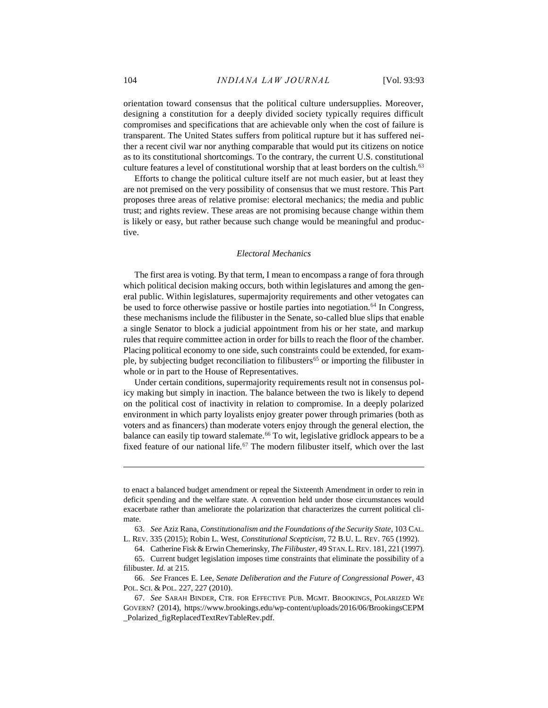orientation toward consensus that the political culture undersupplies. Moreover, designing a constitution for a deeply divided society typically requires difficult compromises and specifications that are achievable only when the cost of failure is transparent. The United States suffers from political rupture but it has suffered neither a recent civil war nor anything comparable that would put its citizens on notice as to its constitutional shortcomings. To the contrary, the current U.S. constitutional culture features a level of constitutional worship that at least borders on the cultish.<sup>63</sup>

Efforts to change the political culture itself are not much easier, but at least they are not premised on the very possibility of consensus that we must restore. This Part proposes three areas of relative promise: electoral mechanics; the media and public trust; and rights review. These areas are not promising because change within them is likely or easy, but rather because such change would be meaningful and productive.

#### *Electoral Mechanics*

The first area is voting. By that term, I mean to encompass a range of fora through which political decision making occurs, both within legislatures and among the general public. Within legislatures, supermajority requirements and other vetogates can be used to force otherwise passive or hostile parties into negotiation.<sup>64</sup> In Congress, these mechanisms include the filibuster in the Senate, so-called blue slips that enable a single Senator to block a judicial appointment from his or her state, and markup rules that require committee action in order for bills to reach the floor of the chamber. Placing political economy to one side, such constraints could be extended, for example, by subjecting budget reconciliation to filibusters<sup>65</sup> or importing the filibuster in whole or in part to the House of Representatives.

<span id="page-12-0"></span>Under certain conditions, supermajority requirements result not in consensus policy making but simply in inaction. The balance between the two is likely to depend on the political cost of inactivity in relation to compromise. In a deeply polarized environment in which party loyalists enjoy greater power through primaries (both as voters and as financers) than moderate voters enjoy through the general election, the balance can easily tip toward stalemate.<sup>66</sup> To wit, legislative gridlock appears to be a fixed feature of our national life.<sup>67</sup> The modern filibuster itself, which over the last

to enact a balanced budget amendment or repeal the Sixteenth Amendment in order to rein in deficit spending and the welfare state. A convention held under those circumstances would exacerbate rather than ameliorate the polarization that characterizes the current political climate.

<sup>63.</sup> *See* Aziz Rana, *Constitutionalism and the Foundations of the Security State*, 103 CAL.

L. REV. 335 (2015); Robin L. West, *Constitutional Scepticism*, 72 B.U. L. REV. 765 (1992).

<sup>64.</sup> Catherine Fisk & Erwin Chemerinsky, *The Filibuster*, 49 STAN.L.REV. 181, 221 (1997).

<sup>65.</sup> Current budget legislation imposes time constraints that eliminate the possibility of a filibuster. *Id.* at 215.

<sup>66.</sup> *See* Frances E. Lee, *Senate Deliberation and the Future of Congressional Power*, 43 POL. SCI. & POL. 227, 227 (2010).

<sup>67.</sup> *See* SARAH BINDER, CTR. FOR EFFECTIVE PUB. MGMT. BROOKINGS, POLARIZED WE GOVERN? (2014), https://www.brookings.edu/wp-content/uploads/2016/06/BrookingsCEPM \_Polarized\_figReplacedTextRevTableRev.pdf.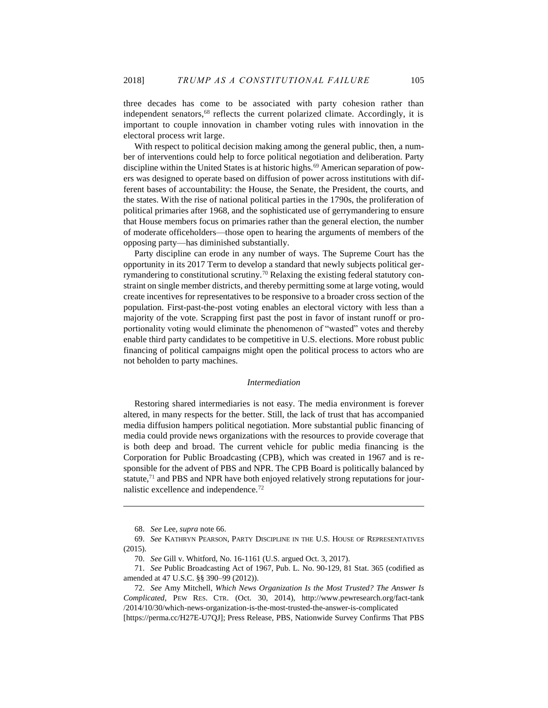three decades has come to be associated with party cohesion rather than independent senators,<sup>68</sup> reflects the current polarized climate. Accordingly, it is important to couple innovation in chamber voting rules with innovation in the electoral process writ large.

With respect to political decision making among the general public, then, a number of interventions could help to force political negotiation and deliberation. Party discipline within the United States is at historic highs.<sup>69</sup> American separation of powers was designed to operate based on diffusion of power across institutions with different bases of accountability: the House, the Senate, the President, the courts, and the states. With the rise of national political parties in the 1790s, the proliferation of political primaries after 1968, and the sophisticated use of gerrymandering to ensure that House members focus on primaries rather than the general election, the number of moderate officeholders—those open to hearing the arguments of members of the opposing party—has diminished substantially.

Party discipline can erode in any number of ways. The Supreme Court has the opportunity in its 2017 Term to develop a standard that newly subjects political gerrymandering to constitutional scrutiny.<sup>70</sup> Relaxing the existing federal statutory constraint on single member districts, and thereby permitting some at large voting, would create incentives for representatives to be responsive to a broader cross section of the population. First-past-the-post voting enables an electoral victory with less than a majority of the vote. Scrapping first past the post in favor of instant runoff or proportionality voting would eliminate the phenomenon of "wasted" votes and thereby enable third party candidates to be competitive in U.S. elections. More robust public financing of political campaigns might open the political process to actors who are not beholden to party machines.

### *Intermediation*

Restoring shared intermediaries is not easy. The media environment is forever altered, in many respects for the better. Still, the lack of trust that has accompanied media diffusion hampers political negotiation. More substantial public financing of media could provide news organizations with the resources to provide coverage that is both deep and broad. The current vehicle for public media financing is the Corporation for Public Broadcasting (CPB), which was created in 1967 and is responsible for the advent of PBS and NPR. The CPB Board is politically balanced by statute, $71$  and PBS and NPR have both enjoyed relatively strong reputations for journalistic excellence and independence.<sup>72</sup>

<sup>68.</sup> *See* Lee, *supra* not[e 66.](#page-12-0)

<sup>69.</sup> *See* KATHRYN PEARSON, PARTY DISCIPLINE IN THE U.S. HOUSE OF REPRESENTATIVES (2015).

<sup>70.</sup> *See* Gill v. Whitford, No. 16-1161 (U.S. argued Oct. 3, 2017).

<sup>71.</sup> *See* Public Broadcasting Act of 1967, Pub. L. No. 90-129, 81 Stat. 365 (codified as amended at 47 U.S.C. §§ 390–99 (2012)).

<sup>72.</sup> *See* Amy Mitchell, *Which News Organization Is the Most Trusted? The Answer Is Complicated*, PEW RES. CTR. (Oct. 30, 2014), http://www.pewresearch.org/fact-tank /2014/10/30/which-news-organization-is-the-most-trusted-the-answer-is-complicated [https://perma.cc/H27E-U7QJ]; Press Release, PBS, Nationwide Survey Confirms That PBS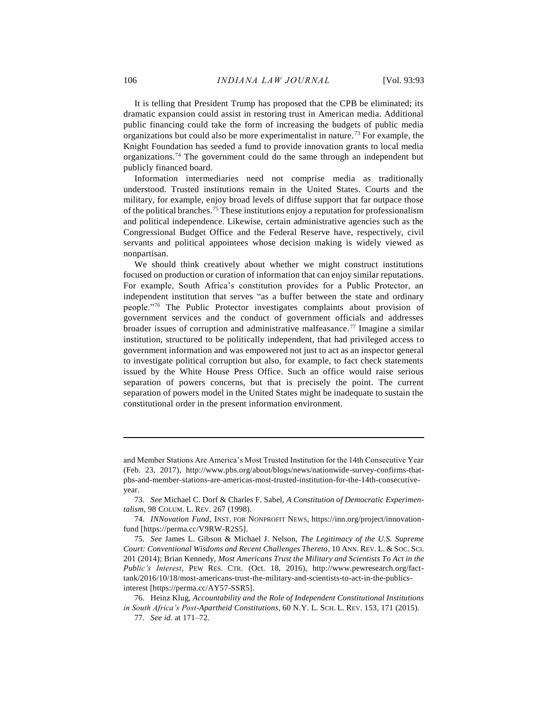It is telling that President Trump has proposed that the CPB be eliminated; its dramatic expansion could assist in restoring trust in American media. Additional public financing could take the form of increasing the budgets of public media organizations but could also be more experimentalist in nature.<sup>73</sup> For example, the Knight Foundation has seeded a fund to provide innovation grants to local media organizations.<sup>74</sup> The government could do the same through an independent but publicly financed board.

Information intermediaries need not comprise media as traditionally understood. Trusted institutions remain in the United States. Courts and the military, for example, enjoy broad levels of diffuse support that far outpace those of the political branches.<sup>75</sup> These institutions enjoy a reputation for professionalism and political independence. Likewise, certain administrative agencies such as the Congressional Budget Office and the Federal Reserve have, respectively, civil servants and political appointees whose decision making is widely viewed as nonpartisan.

We should think creatively about whether we might construct institutions focused on production or curation of information that can enjoy similar reputations. For example, South Africa's constitution provides for a Public Protector, an independent institution that serves "as a buffer between the state and ordinary people."<sup>76</sup> The Public Protector investigates complaints about provision of government services and the conduct of government officials and addresses broader issues of corruption and administrative malfeasance.<sup>77</sup> Imagine a similar institution, structured to be politically independent, that had privileged access to government information and was empowered not just to act as an inspector general to investigate political corruption but also, for example, to fact check statements issued by the White House Press Office. Such an office would raise serious separation of powers concerns, but that is precisely the point. The current separation of powers model in the United States might be inadequate to sustain the constitutional order in the present information environment.

and Member Stations Are America's Most Trusted Institution for the 14th Consecutive Year (Feb. 23, 2017), http://www.pbs.org/about/blogs/news/nationwide-survey-confirms-thatpbs-and-member-stations-are-americas-most-trusted-institution-for-the-14th-consecutiveyear.

<sup>73.</sup> *See* Michael C. Dorf & Charles F. Sabel, *A Constitution of Democratic Experimentalism*, 98 COLUM. L. REV. 267 (1998).

<sup>74.</sup> *INNovation Fund*, INST. FOR NONPROFIT NEWS, https://inn.org/project/innovationfund [https://perma.cc/V9RW-R2S5].

<sup>75.</sup> *See* James L. Gibson & Michael J. Nelson, *The Legitimacy of the U.S. Supreme Court: Conventional Wisdoms and Recent Challenges Thereto*, 10 ANN. REV. L. & SOC. SCI. 201 (2014); Brian Kennedy, *Most Americans Trust the Military and Scientists To Act in the Public's Interest*, PEW RES. CTR. (Oct. 18, 2016), http://www.pewresearch.org/facttank/2016/10/18/most-americans-trust-the-military-and-scientists-to-act-in-the-publicsinterest [https://perma.cc/AY57-SSR5].

<sup>76.</sup> Heinz Klug, *Accountability and the Role of Independent Constitutional Institutions in South Africa's Post-Apartheid Constitutions*, 60 N.Y. L. SCH. L. REV. 153, 171 (2015).

<sup>77.</sup> *See id.* at 171–72.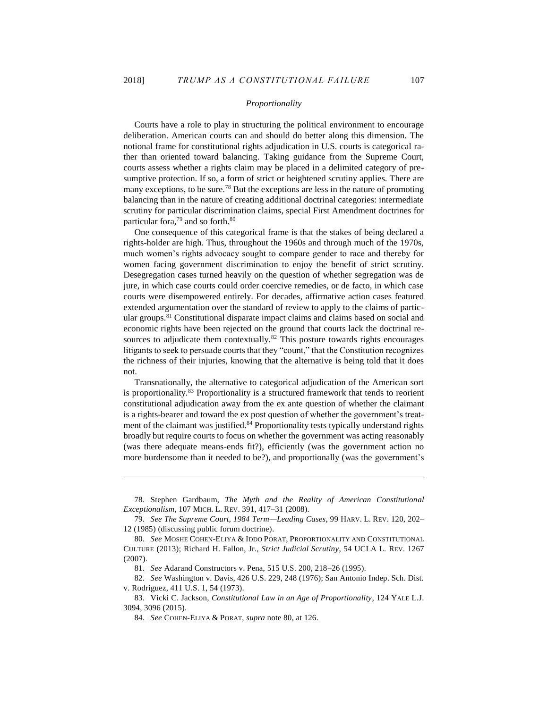$\overline{a}$ 

## *Proportionality*

Courts have a role to play in structuring the political environment to encourage deliberation. American courts can and should do better along this dimension. The notional frame for constitutional rights adjudication in U.S. courts is categorical rather than oriented toward balancing. Taking guidance from the Supreme Court, courts assess whether a rights claim may be placed in a delimited category of presumptive protection. If so, a form of strict or heightened scrutiny applies. There are many exceptions, to be sure.<sup>78</sup> But the exceptions are less in the nature of promoting balancing than in the nature of creating additional doctrinal categories: intermediate scrutiny for particular discrimination claims, special First Amendment doctrines for particular fora,<sup>79</sup> and so forth.<sup>80</sup>

<span id="page-15-0"></span>One consequence of this categorical frame is that the stakes of being declared a rights-holder are high. Thus, throughout the 1960s and through much of the 1970s, much women's rights advocacy sought to compare gender to race and thereby for women facing government discrimination to enjoy the benefit of strict scrutiny. Desegregation cases turned heavily on the question of whether segregation was de jure, in which case courts could order coercive remedies, or de facto, in which case courts were disempowered entirely. For decades, affirmative action cases featured extended argumentation over the standard of review to apply to the claims of particular groups.<sup>81</sup> Constitutional disparate impact claims and claims based on social and economic rights have been rejected on the ground that courts lack the doctrinal resources to adjudicate them contextually.<sup>82</sup> This posture towards rights encourages litigants to seek to persuade courts that they "count," that the Constitution recognizes the richness of their injuries, knowing that the alternative is being told that it does not.

<span id="page-15-1"></span>Transnationally, the alternative to categorical adjudication of the American sort is proportionality.<sup>83</sup> Proportionality is a structured framework that tends to reorient constitutional adjudication away from the ex ante question of whether the claimant is a rights-bearer and toward the ex post question of whether the government's treatment of the claimant was justified.<sup>84</sup> Proportionality tests typically understand rights broadly but require courts to focus on whether the government was acting reasonably (was there adequate means-ends fit?), efficiently (was the government action no more burdensome than it needed to be?), and proportionally (was the government's

<sup>78.</sup> Stephen Gardbaum, *The Myth and the Reality of American Constitutional Exceptionalism*, 107 MICH. L. REV. 391, 417–31 (2008).

<sup>79.</sup> *See The Supreme Court, 1984 Term—Leading Cases*, 99 HARV. L. REV. 120, 202– 12 (1985) (discussing public forum doctrine).

<sup>80.</sup> *See* MOSHE COHEN-ELIYA & IDDO PORAT, PROPORTIONALITY AND CONSTITUTIONAL CULTURE (2013); Richard H. Fallon, Jr., *Strict Judicial Scrutiny*, 54 UCLA L. REV. 1267 (2007).

<sup>81.</sup> *See* Adarand Constructors v. Pena, 515 U.S. 200, 218–26 (1995).

<sup>82.</sup> *See* Washington v. Davis, 426 U.S. 229, 248 (1976); San Antonio Indep. Sch. Dist. v. Rodriguez, 411 U.S. 1, 54 (1973).

<sup>83.</sup> Vicki C. Jackson, *Constitutional Law in an Age of Proportionality*, 124 YALE L.J. 3094, 3096 (2015).

<sup>84.</sup> *See* COHEN-ELIYA & PORAT, *supra* note [80,](#page-15-0) at 126.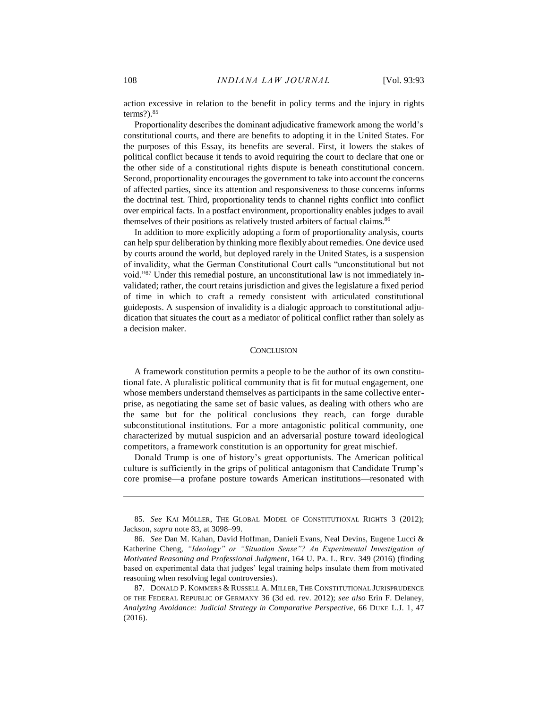action excessive in relation to the benefit in policy terms and the injury in rights terms? $).$ <sup>85</sup>

Proportionality describes the dominant adjudicative framework among the world's constitutional courts, and there are benefits to adopting it in the United States. For the purposes of this Essay, its benefits are several. First, it lowers the stakes of political conflict because it tends to avoid requiring the court to declare that one or the other side of a constitutional rights dispute is beneath constitutional concern. Second, proportionality encourages the government to take into account the concerns of affected parties, since its attention and responsiveness to those concerns informs the doctrinal test. Third, proportionality tends to channel rights conflict into conflict over empirical facts. In a postfact environment, proportionality enables judges to avail themselves of their positions as relatively trusted arbiters of factual claims.<sup>86</sup>

In addition to more explicitly adopting a form of proportionality analysis, courts can help spur deliberation by thinking more flexibly about remedies. One device used by courts around the world, but deployed rarely in the United States, is a suspension of invalidity, what the German Constitutional Court calls "unconstitutional but not void."<sup>87</sup> Under this remedial posture, an unconstitutional law is not immediately invalidated; rather, the court retains jurisdiction and gives the legislature a fixed period of time in which to craft a remedy consistent with articulated constitutional guideposts. A suspension of invalidity is a dialogic approach to constitutional adjudication that situates the court as a mediator of political conflict rather than solely as a decision maker.

#### **CONCLUSION**

A framework constitution permits a people to be the author of its own constitutional fate. A pluralistic political community that is fit for mutual engagement, one whose members understand themselves as participants in the same collective enterprise, as negotiating the same set of basic values, as dealing with others who are the same but for the political conclusions they reach, can forge durable subconstitutional institutions. For a more antagonistic political community, one characterized by mutual suspicion and an adversarial posture toward ideological competitors, a framework constitution is an opportunity for great mischief.

Donald Trump is one of history's great opportunists. The American political culture is sufficiently in the grips of political antagonism that Candidate Trump's core promise—a profane posture towards American institutions—resonated with

<sup>85.</sup> *See* KAI MÖLLER, THE GLOBAL MODEL OF CONSTITUTIONAL RIGHTS 3 (2012); Jackson, *supra* not[e 83,](#page-15-1) at 3098–99.

<sup>86.</sup> *See* Dan M. Kahan, David Hoffman, Danieli Evans, Neal Devins, Eugene Lucci & Katherine Cheng, *"Ideology" or "Situation Sense"? An Experimental Investigation of Motivated Reasoning and Professional Judgment*, 164 U. PA. L. REV. 349 (2016) (finding based on experimental data that judges' legal training helps insulate them from motivated reasoning when resolving legal controversies).

<sup>87.</sup> DONALD P. KOMMERS & RUSSELL A. MILLER, THE CONSTITUTIONAL JURISPRUDENCE OF THE FEDERAL REPUBLIC OF GERMANY 36 (3d ed. rev. 2012); *see also* Erin F. Delaney, *Analyzing Avoidance: Judicial Strategy in Comparative Perspective*, 66 DUKE L.J. 1, 47 (2016).